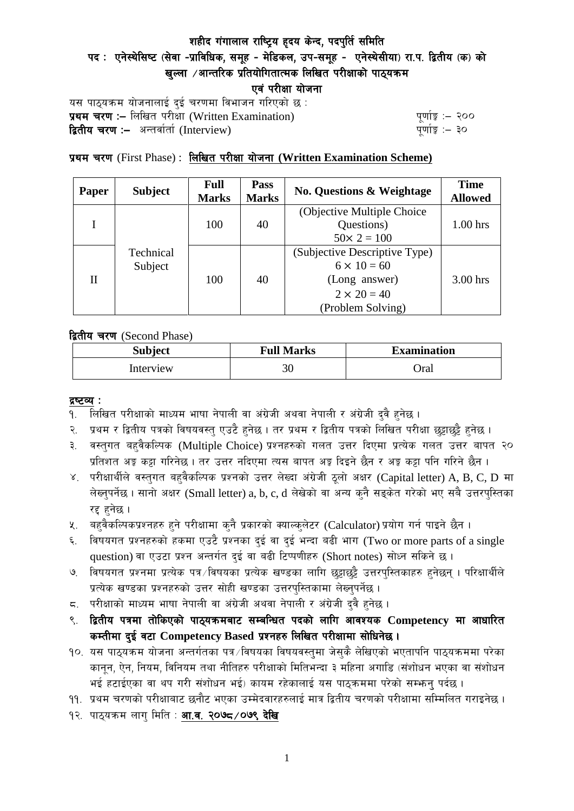# शहीद गंगालाल राष्ट्रिय हृदय केन्द, पदपुर्ति समिति

# पद: एनेस्थेसिष्ट (सेवा -प्राविधिक, समूह - मेडिकल, उप-समूह - एनेस्थेसीया) रा.प. द्वितीय (क) को खल्ला  $\ell$ आन्तरिक प्रतियोगितात्मक लिखित परीक्षाको पाठयक्रम

एवं परीक्षा योजना

यस पाठ्यक्रम योजनालाई दुई चरणमा विभाजन गरिएको छ : प्रथम चरण :- लिखित परीसा (Written Examination)  $\frac{d}{dx}$  and  $\frac{d}{dx}$  and  $\frac{d}{dx}$  are  $\frac{d}{dx}$ **द्वितीय चरण :–** अन्तर्वार्ता (Interview) k and the set of the set of the set of the set of the set of the set o

# प्रथम चरण (First Phase) : लिखित परीक्षा योजना (Written Examination Scheme)

| <b>Paper</b> | <b>Subject</b>       | <b>Full</b><br><b>Marks</b> | Pass<br><b>Marks</b> | <b>No. Questions &amp; Weightage</b> | <b>Time</b><br><b>Allowed</b> |
|--------------|----------------------|-----------------------------|----------------------|--------------------------------------|-------------------------------|
|              | Technical<br>Subject | 100                         | 40                   | (Objective Multiple Choice)          |                               |
|              |                      |                             |                      | Questions)                           | $1.00$ hrs                    |
|              |                      |                             |                      | $50 \times 2 = 100$                  |                               |
| H            |                      | 100                         | 40                   | (Subjective Descriptive Type)        |                               |
|              |                      |                             |                      | $6 \times 10 = 60$                   |                               |
|              |                      |                             |                      | (Long answer)                        | $3.00$ hrs                    |
|              |                      |                             |                      | $2 \times 20 = 40$                   |                               |
|              |                      |                             |                      | (Problem Solving)                    |                               |

द्वितीय चरण (Second Phase)

| <b>Subject</b> | <b>Full Marks</b> | <b>Examination</b> |  |
|----------------|-------------------|--------------------|--|
| Interview      | 30                | Oral               |  |

#### द्रष्टव्य :

- १. लिखित परीक्षाको माध्यम भाषा नेपाली वा अंग्रेजी अथवा नेपाली र अंग्रेजी द्वै हुनेछ ।
- २. प्रथम र द्वितीय पत्रको विषयवस्त् एउटै हुनेछ । तर प्रथम र द्वितीय पत्रको लिखित परीक्षा छुट्टाछुट्टै हुनेछ ।
- ३. वस्तुगत बहुवैकल्पिक (Multiple Choice) प्रश्नहरुको गलत उत्तर दिएमा प्रत्येक गलत उत्तर बापत २० प्रतिशत अड़ू कट्टा गरिनेछ । तर उत्तर नदिएमा त्यस बापत अड़ू दिइने छैन र अड़ू कट्टा पनि गरिने छैन ।
- ४. परीक्षार्थीले वस्तुगत बहुवैकल्पिक प्रश्नको उत्तर लेख्दा अंग्रेजी ठूलो अक्षर (Capital letter) A, B, C, D मा लेख्नुपर्नेछ । सानो अक्षर (Small letter) a, b, c, d लेखेको वा अन्य कुनै सड्केत गरेको भए सबै उत्तरपुस्तिका रद्द हनेछ ।
- ५. वहवैकल्पिकप्रश्नहरु हुने परीक्षामा कुनै प्रकारको क्याल्कुलेटर (Calculator) प्रयोग गर्न पाइने छैन ।
- ६. विषयगत प्रश्नहरुको हकमा एउटै प्रश्नका दुई वा दुई भन्दा बढी भाग (Two or more parts of a single question) वा एउटा प्रश्न अन्तर्गत दुई वा बढी टिप्पणीहरु (Short notes) सोध्न सकिने छ।
- ७. विषयगत प्रश्नमा प्रत्येक पत्र ∕विषयका प्रत्येक खण्डका लागि छट्टाछट्टै उत्तरपुस्तिकाहरु हुनेछन् । परिक्षार्थीले प्रत्येक खण्डका प्रश्नहरुको उत्तर सोही खण्डका उत्तरपस्तिकामा लेख्नपर्नेछ ।
- $\,$ द. परीक्षाको माध्यम भाषा नेपाली वा अंग्रेजी अथवा नेपाली र अंग्रेजी द्वै हुनेछ ।
- ९. द्वितीय पत्रमा तोकिएको पाठ्यक्रमबाट सम्बन्धित पदको लागि आवश्यक Competency मा आधारित कम्तीमा दई वटा Competency Based प्रश्नहरु लिखित परीक्षामा सोधिनेछ।
- $10.$  यस पाठ्यक्रम योजना अन्तर्गतका पत्र /विषयका विषयवस्तुमा जेसुकै लेखिएको भएतापनि पाठ्यक्रममा परेका कानून, ऐन, नियम, विनियम तथा नीतिहरु परीक्षाको मितिभन्दा ३ महिना अगाडि (संशोधन भएका वा संशोधन भई हटाईएका वा थप गरी संशोधन भई) कायम रहेकालाई यस पाठकममा परेको सम्भन्न पर्दछ ।
- ११. प्रथम चरणको परीक्षाबाट छनौट भएका उम्मेदवारहरुलाई मात्र द्वितीय चरणको परीक्षामा सम्मिलित गराइनेछ ।
- १२. पाठ्यक्रम लाग मिति : **आ.व. २०७८ /०७९ देखि**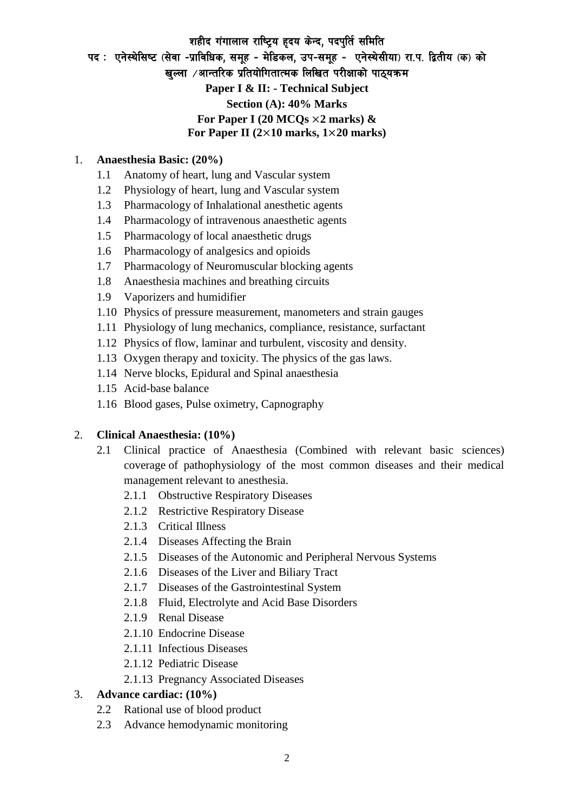# शहीद गंगालाल राष्ट्रिय हृदय केन्द, पदपुर्ति समिति पद: एनेस्थेसिष्ट (सेवा -प्राविधिक, समूह - मेडिकल, उप-समूह - एनेस्थेसीया) रा.प. द्वितीय (क) को खल्ला  $\sqrt{3}$ नत्तरिक प्रतियोगितात्मक लिखित परीक्षाको पाठयक्रम **Paper I & II: - Technical Subject Section (A): 40% Marks For Paper I (20 MCQs** ×**2 marks) & For Paper II (2**×**10 marks, 1**×**20 marks)**

### 1. **Anaesthesia Basic: (20%)**

- 1.1 Anatomy of heart, lung and Vascular system
- 1.2 Physiology of heart, lung and Vascular system
- 1.3 Pharmacology of Inhalational anesthetic agents
- 1.4 Pharmacology of intravenous anaesthetic agents
- 1.5 Pharmacology of local anaesthetic drugs
- 1.6 Pharmacology of analgesics and opioids
- 1.7 Pharmacology of Neuromuscular blocking agents
- 1.8 Anaesthesia machines and breathing circuits
- 1.9 Vaporizers and humidifier
- 1.10 Physics of pressure measurement, manometers and strain gauges
- 1.11 Physiology of lung mechanics, compliance, resistance, surfactant
- 1.12 Physics of flow, laminar and turbulent, viscosity and density.
- 1.13 Oxygen therapy and toxicity. The physics of the gas laws.
- 1.14 Nerve blocks, Epidural and Spinal anaesthesia
- 1.15 Acid-base balance
- 1.16 Blood gases, Pulse oximetry, Capnography

#### 2. **Clinical Anaesthesia: (10%)**

- 2.1 Clinical practice of Anaesthesia (Combined with relevant basic sciences) coverage of pathophysiology of the most common diseases and their medical management relevant to anesthesia.
	- 2.1.1 Obstructive Respiratory Diseases
	- 2.1.2 Restrictive Respiratory Disease
	- 2.1.3 Critical Illness
	- 2.1.4 Diseases Affecting the Brain
	- 2.1.5 Diseases of the Autonomic and Peripheral Nervous Systems
	- 2.1.6 Diseases of the Liver and Biliary Tract
	- 2.1.7 Diseases of the Gastrointestinal System
	- 2.1.8 Fluid, Electrolyte and Acid Base Disorders
	- 2.1.9 Renal Disease
	- 2.1.10 Endocrine Disease
	- 2.1.11 Infectious Diseases
	- 2.1.12 Pediatric Disease
	- 2.1.13 Pregnancy Associated Diseases

#### 3. **Advance cardiac: (10%)**

- 2.2 Rational use of blood product
- 2.3 Advance hemodynamic monitoring